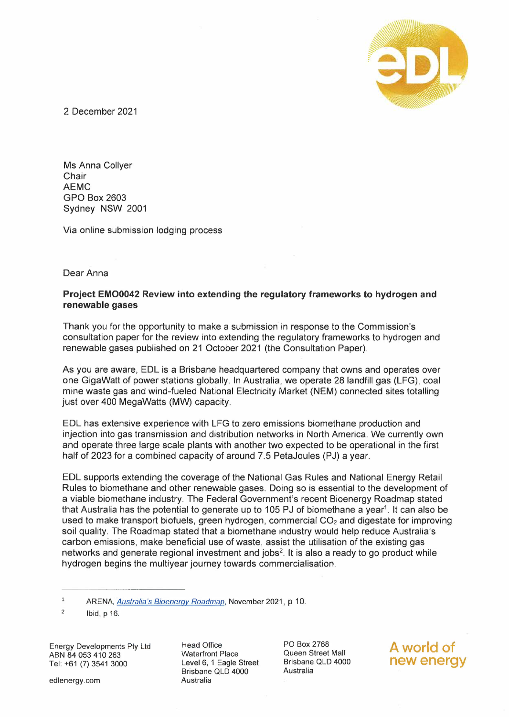

2 December 2021

Ms Anna Collyer **Chair** AEMC GPO Box 2603 Sydney NSW 2001

Via online submission lodging process

Dear Anna

# **Project EMO0042 Review into extending the regulatory frameworks to hydrogen and renewable gases**

Thank you for the opportunity to make a submission in response to the Commission's consultation paper for the review into extending the regulatory frameworks to hydrogen and renewable gases published on 21 October 2021 (the Consultation Paper).

As you are aware, EDL is a Brisbane headquartered company that owns and operates over one Gigawatt of power stations globally. In Australia, we operate 28 landfill gas (LFG), coal mine waste gas and wind-fueled National Electricity Market (NEM) connected sites totalling just over 400 MegaWatts (MW) capacity.

EDL has extensive experience with LFG to zero emissions biomethane production and injection into gas transmission and distribution networks in North America. We currently own and operate three large scale plants with another two expected to be operational in the first half of 2023 for a combined capacity of around 7.5 PetaJoules (PJ) a year.

EDL supports extending the coverage of the National Gas Rules and National Energy Retail Rules to biomethane and other renewable gases. Doing so is essential to the development of a viable biomethane industry. The Federal Government's recent Bioenergy Roadmap stated that Australia has the potential to generate up to 105 PJ of biomethane a year<sup>1</sup>. It can also be used to make transport biofuels, green hydrogen, commercial  $CO<sub>2</sub>$  and digestate for improving soil quality. The Roadmap stated that a biomethane industry would help reduce Australia's carbon emissions, make beneficial use of waste, assist the utilisation of the existing gas networks and generate regional investment and jobs 2. It is also a ready to go product while hydrogen begins the multiyear journey towards commercialisation.

Energy Developments Pty Ltd ABN 84 053 410 263 Tel: +61 (7) 3541 3000

edlenergy. com

Head Office Waterfront Place Level 6, 1 Eagle Street Brisbane QLD 4000 Australia

PO Box 2768 Queen Street Mall Brisbane QLD 4000 Australia

**A world of new energy** 

 $\mathbf{1}$ ARENA, *Australia's Bioenerqv Roadmap,* November 2021, p 10.

<sup>2</sup>  Ibid, p 16.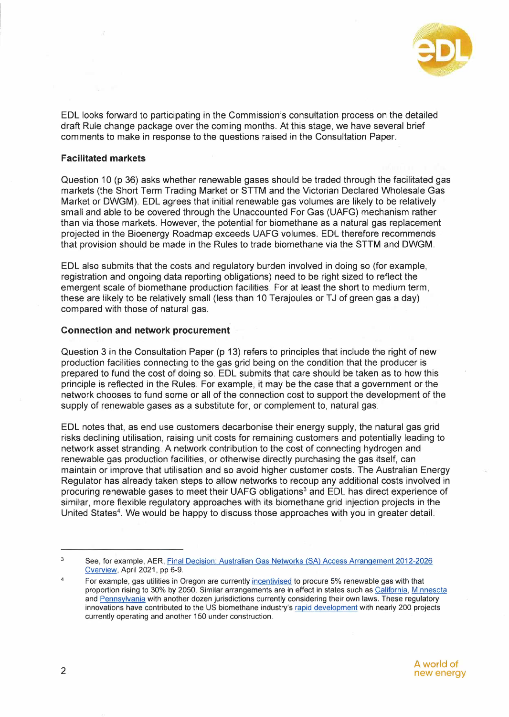

EDL looks forward to participating in the Commission's consultation process on the detailed draft Rule change package over the coming months. At this stage, we have several brief comments to make in response to the questions raised in the Consultation Paper.

## **Facilitated markets**

Question 10 (p 36) asks whether renewable gases should be traded through the facilitated gas markets (the Short Term Trading Market or STTM and the Victorian Declared Wholesale Gas Market or DWGM). EDL agrees that initial renewable gas volumes are likely to be relatively small and able to be covered through the Unaccounted For Gas (UAFG) mechanism rather than via those markets. However, the potential for biomethane as a natural gas replacement projected in the Bioenergy Roadmap exceeds UAFG volumes. EDL therefore recommends that provision should be made in the Rules to trade biomethane via the STTM and DWGM.

EDL also submits that the costs and regulatory burden involved in doing so (for example, registration and ongoing data reporting obligations) need to be right sized to reflect the emergent scale of biomethane production facilities. For at least the short to medium term, these are likely to be relatively small (less than 10 Terajoules or TJ of green gas a day) compared with those of natural gas.

### **Connection and network procurement**

Question 3 in the Consultation Paper (p 13) refers to principles that include the right of new production facilities connecting to the gas grid being on the condition that the producer is prepared to fund the cost of doing so. EDL submits that care should be taken as to how this principle is reflected in the Rules. For example, it may be the case that a government or the network chooses to fund some or all of the connection cost to support the development of the supply of renewable gases as a substitute for, or complement to, natural gas.

EDL notes that, as end use customers decarbonise their energy supply, the natural gas grid risks declining utilisation, raising unit costs for remaining customers and potentially leading to network asset stranding. A network contribution to the cost of connecting hydrogen and renewable gas production facilities, or otherwise directly purchasing the gas itself, can maintain or improve that utilisation and so avoid higher customer costs. The Australian Energy Regulator has already taken steps to allow networks to recoup any additional costs involved in procuring renewable gases to meet their UAFG obligations <sup>3</sup>and EDL has direct experience of similar, more flexible regulatory approaches with its biomethane grid injection projects in the United States<sup>4</sup>. We would be happy to discuss those approaches with you in greater detail.

<sup>3</sup>  See, for example, AER, Final Decision: Australian Gas Networks (SA) Access Arrangement 2012-2026 Overview, April 2021, pp 6-9.

<sup>4</sup>  For example, gas utilities in Oregon are currently incentivised to procure 5% renewable gas with that proportion rising to 30% by 2050. Similar arrangements are in effect in states such as California, Minnesota and Pennsylvania with another dozen jurisdictions currently considering their own laws. These regulatory innovations have contributed to the US biomethane industry's rapid development with nearly 200 projects currently operating and another 150 under construction.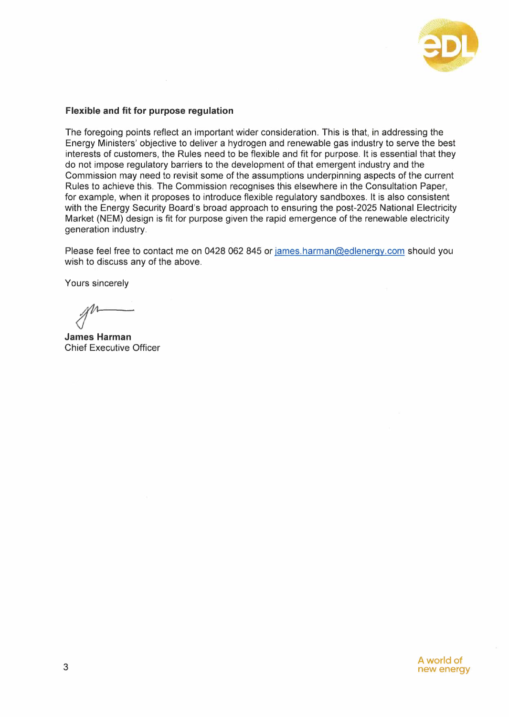

# **Flexible and fit for purpose regulation**

The foregoing points reflect an important wider consideration. This is that, in addressing the Energy Ministers' objective to deliver a hydrogen and renewable gas industry to serve the best interests of customers, the Rules need to be flexible and fit for purpose. It is essential that they do not impose regulatory barriers to the development of that emergent industry and the Commission may need to revisit some of the assumptions underpinning aspects of the current Rules to achieve this. The Commission recognises this elsewhere in the Consultation Paper, for example, when it proposes to introduce flexible regulatory sandboxes. It is also consistent with the Energy Security Board's broad approach to ensuring the post-2025 National Electricity Market (NEM) design is fit for purpose given the rapid emergence of the renewable electricity generation industry.

Please feel free to contact me on 0428 062 845 or james.harman@edlenergy.com should you wish to discuss any of the above.

Yours sincerely

**James Harman**  Chief Executive Officer